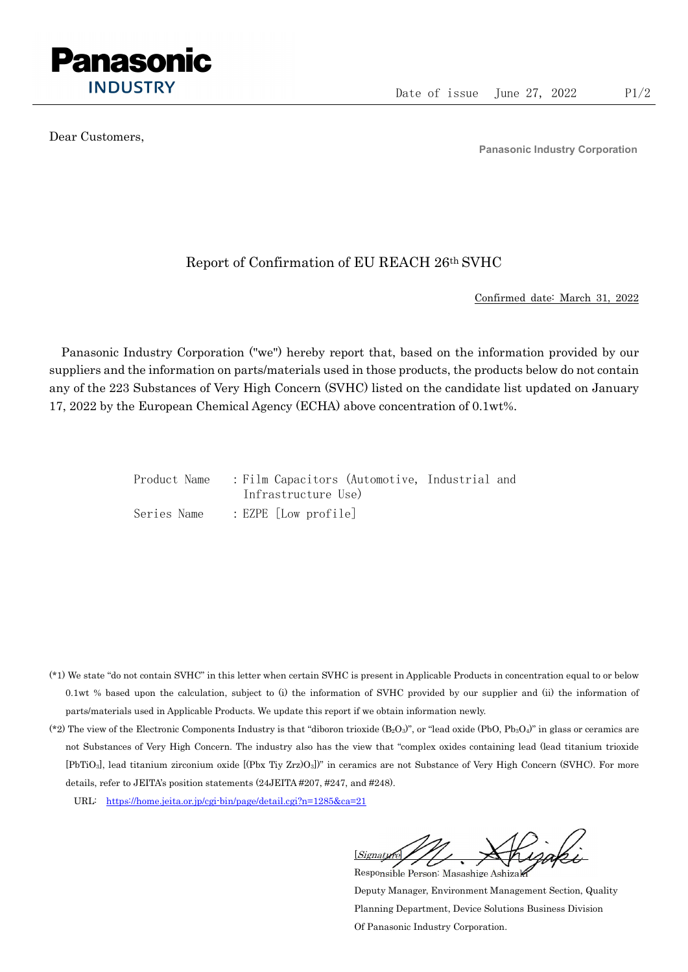

Dear Customers,

Panasonic Industry Corporation

## Report of Confirmation of EU REACH 26th SVHC

Confirmed date: March 31, 2022

Panasonic Industry Corporation ("we") hereby report that, based on the information provided by our suppliers and the information on parts/materials used in those products, the products below do not contain any of the 223 Substances of Very High Concern (SVHC) listed on the candidate list updated on January 17, 2022 by the European Chemical Agency (ECHA) above concentration of 0.1wt%.

| Product Name | : Film Capacitors (Automotive, Industrial and |  |
|--------------|-----------------------------------------------|--|
|              | Infrastructure Use)                           |  |
| Series Name  | $: EZPE$ [Low profile]                        |  |

- (\*1) We state "do not contain SVHC" in this letter when certain SVHC is present in Applicable Products in concentration equal to or below 0.1wt % based upon the calculation, subject to (i) the information of SVHC provided by our supplier and (ii) the information of parts/materials used in Applicable Products. We update this report if we obtain information newly.
- (\*2) The view of the Electronic Components Industry is that "diboron trioxide  $(B_2O_3)$ ", or "lead oxide (PbO, Pb<sub>3</sub>O<sub>4</sub>)" in glass or ceramics are not Substances of Very High Concern. The industry also has the view that "complex oxides containing lead (lead titanium trioxide [PbTiO3], lead titanium zirconium oxide [(Pbx Tiy Zrz)O3])" in ceramics are not Substance of Very High Concern (SVHC). For more details, refer to JEITA's position statements (24JEITA #207, #247, and #248).
	- URL: https://home.jeita.or.jp/cgi-bin/page/detail.cgi?n=1285&ca=21

[Signature] Responsible Person: Masashige Ashizaki

Deputy Manager, Environment Management Section, Quality Planning Department, Device Solutions Business Division Of Panasonic Industry Corporation.